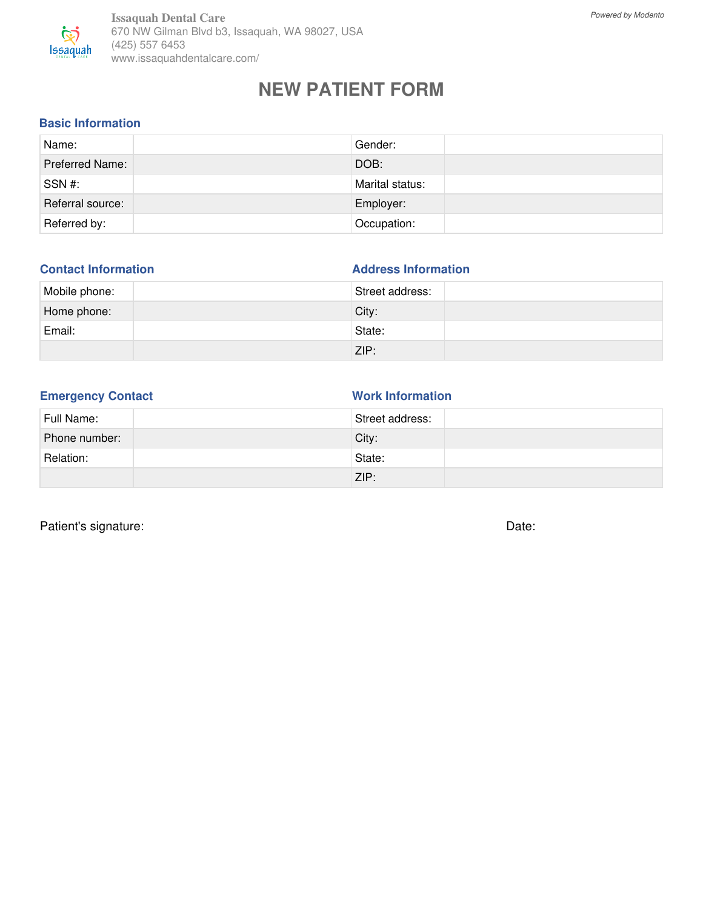

## **NEW PATIENT FORM**

### **Basic Information**

| Name:                  | Gender:         |
|------------------------|-----------------|
| <b>Preferred Name:</b> | DOB:            |
| SSN #:                 | Marital status: |
| Referral source:       | Employer:       |
| Referred by:           | Occupation:     |

| <b>Contact Information</b> | <b>Address Information</b> |
|----------------------------|----------------------------|
| Mobile phone:              | Street address:            |
| Home phone:                | City:                      |
| Email:                     | State:                     |
|                            | ZIP:                       |

| <b>Emergency Contact</b> |  |
|--------------------------|--|
|                          |  |

**Work Information** 

| Full Name:    | Street address: |
|---------------|-----------------|
| Phone number: | City:           |
| Relation:     | State:          |
|               | ZIP:            |

Patient's signature: Date: Date: Date: Date: Date: Date: Date: Date: Date: Date: Date: Date: Date: Date: Date: Date: Date: Date: Date: Date: Date: Date: Date: Date: Date: Date: Date: Date: Date: Date: Date: Date: Date: Dat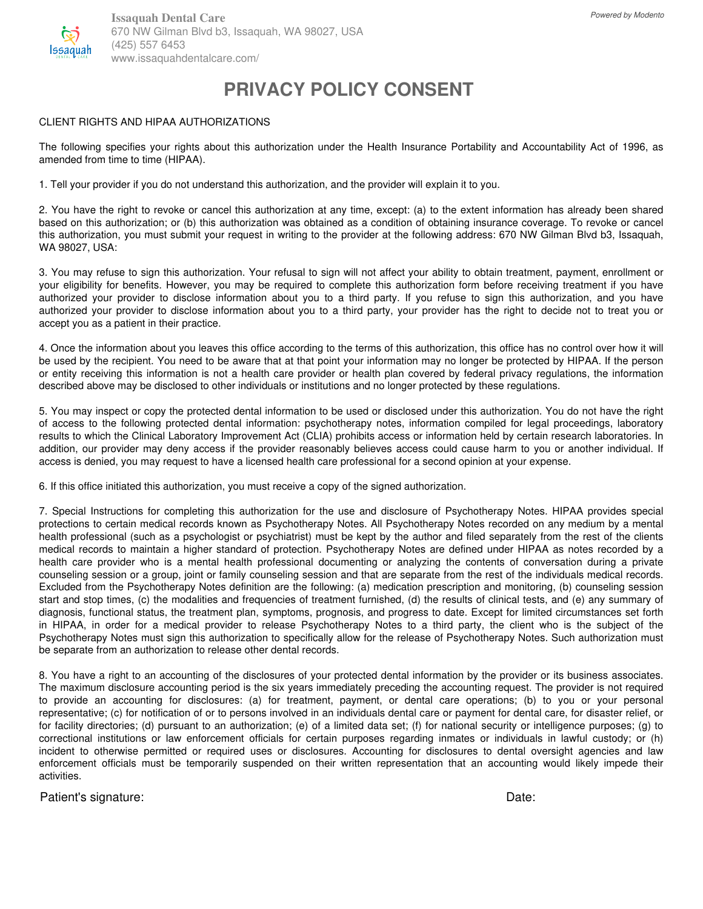

# **PRIVACY POLICY CONSENT**

#### CLIENT RIGHTS AND HIPAA AUTHORIZATIONS

The following specifies your rights about this authorization under the Health Insurance Portability and Accountability Act of 1996, as amended from time to time (HIPAA).

1. Tell your provider if you do not understand this authorization, and the provider will explain it to you.

2. You have the right to revoke or cancel this authorization at any time, except: (a) to the extent information has already been shared based on this authorization; or (b) this authorization was obtained as a condition of obtaining insurance coverage. To revoke or cancel this authorization, you must submit your request in writing to the provider at the following address: 670 NW Gilman Blvd b3, Issaquah, WA 98027, USA:

3. You may refuse to sign this authorization. Your refusal to sign will not affect your ability to obtain treatment, payment, enrollment or your eligibility for benefits. However, you may be required to complete this authorization form before receiving treatment if you have authorized your provider to disclose information about you to a third party. If you refuse to sign this authorization, and you have authorized your provider to disclose information about you to a third party, your provider has the right to decide not to treat you or accept you as a patient in their practice.

4. Once the information about you leaves this office according to the terms of this authorization, this office has no control over how it will be used by the recipient. You need to be aware that at that point your information may no longer be protected by HIPAA. If the person or entity receiving this information is not a health care provider or health plan covered by federal privacy regulations, the information described above may be disclosed to other individuals or institutions and no longer protected by these regulations.

5. You may inspect or copy the protected dental information to be used or disclosed under this authorization. You do not have the right of access to the following protected dental information: psychotherapy notes, information compiled for legal proceedings, laboratory results to which the Clinical Laboratory Improvement Act (CLIA) prohibits access or information held by certain research laboratories. In addition, our provider may deny access if the provider reasonably believes access could cause harm to you or another individual. If access is denied, you may request to have a licensed health care professional for a second opinion at your expense.

6. If this office initiated this authorization, you must receive a copy of the signed authorization.

7. Special Instructions for completing this authorization for the use and disclosure of Psychotherapy Notes. HIPAA provides special protections to certain medical records known as Psychotherapy Notes. All Psychotherapy Notes recorded on any medium by a mental health professional (such as a psychologist or psychiatrist) must be kept by the author and filed separately from the rest of the clients medical records to maintain a higher standard of protection. Psychotherapy Notes are defined under HIPAA as notes recorded by a health care provider who is a mental health professional documenting or analyzing the contents of conversation during a private counseling session or a group, joint or family counseling session and that are separate from the rest of the individuals medical records. Excluded from the Psychotherapy Notes definition are the following: (a) medication prescription and monitoring, (b) counseling session start and stop times, (c) the modalities and frequencies of treatment furnished, (d) the results of clinical tests, and (e) any summary of diagnosis, functional status, the treatment plan, symptoms, prognosis, and progress to date. Except for limited circumstances set forth in HIPAA, in order for a medical provider to release Psychotherapy Notes to a third party, the client who is the subject of the Psychotherapy Notes must sign this authorization to specifically allow for the release of Psychotherapy Notes. Such authorization must be separate from an authorization to release other dental records.

8. You have a right to an accounting of the disclosures of your protected dental information by the provider or its business associates. The maximum disclosure accounting period is the six years immediately preceding the accounting request. The provider is not required to provide an accounting for disclosures: (a) for treatment, payment, or dental care operations; (b) to you or your personal representative; (c) for notification of or to persons involved in an individuals dental care or payment for dental care, for disaster relief, or for facility directories; (d) pursuant to an authorization; (e) of a limited data set; (f) for national security or intelligence purposes; (g) to correctional institutions or law enforcement officials for certain purposes regarding inmates or individuals in lawful custody; or (h) incident to otherwise permitted or required uses or disclosures. Accounting for disclosures to dental oversight agencies and law enforcement officials must be temporarily suspended on their written representation that an accounting would likely impede their activities.

Patient's signature: **Date:** Date: **Date: Date: Date: Date: Date: Date: Date: Date: Date: Date: Date: Date: Date: Date: Date: Date: Date: Date: Date: Date: Date: Date: Date: Da**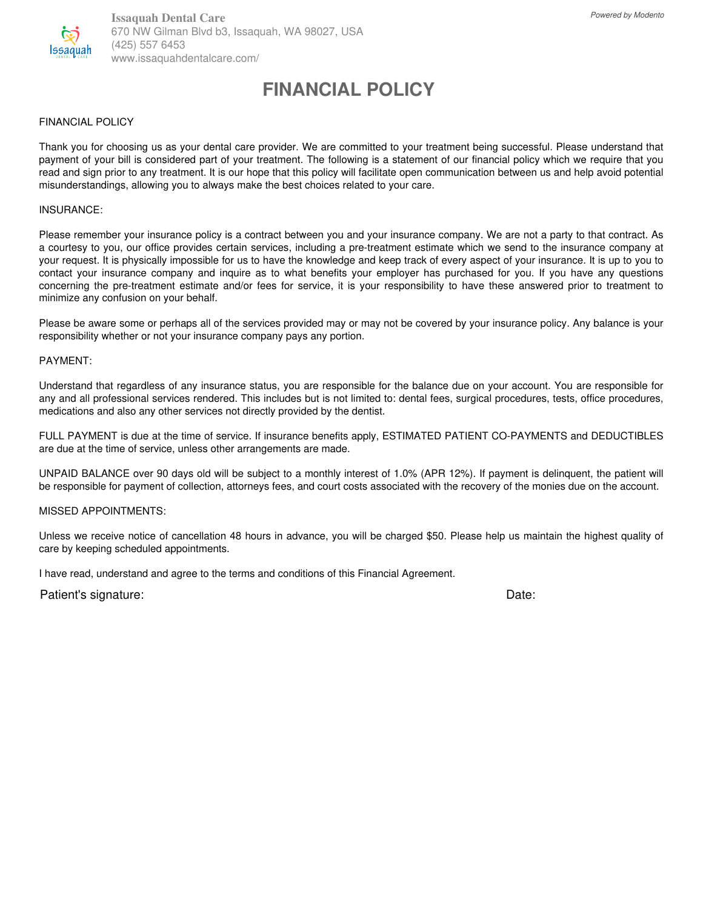

**Issaquah Dental Care** 670 NW Gilman Blvd b3, Issaquah, WA 98027, USA (425) 557 6453 www.issaquahdentalcare.com/

## **FINANCIAL POLICY**

#### FINANCIAL POLICY

Thank you for choosing us as your dental care provider. We are committed to your treatment being successful. Please understand that payment of your bill is considered part of your treatment. The following is a statement of our financial policy which we require that you read and sign prior to any treatment. It is our hope that this policy will facilitate open communication between us and help avoid potential misunderstandings, allowing you to always make the best choices related to your care.

#### INSURANCE:

Please remember your insurance policy is a contract between you and your insurance company. We are not a party to that contract. As a courtesy to you, our office provides certain services, including a pre-treatment estimate which we send to the insurance company at your request. It is physically impossible for us to have the knowledge and keep track of every aspect of your insurance. It is up to you to contact your insurance company and inquire as to what benefits your employer has purchased for you. If you have any questions concerning the pre-treatment estimate and/or fees for service, it is your responsibility to have these answered prior to treatment to minimize any confusion on your behalf.

Please be aware some or perhaps all of the services provided may or may not be covered by your insurance policy. Any balance is your responsibility whether or not your insurance company pays any portion.

#### PAYMENT:

Understand that regardless of any insurance status, you are responsible for the balance due on your account. You are responsible for any and all professional services rendered. This includes but is not limited to: dental fees, surgical procedures, tests, office procedures, medications and also any other services not directly provided by the dentist.

FULL PAYMENT is due at the time of service. If insurance benefits apply, ESTIMATED PATIENT CO-PAYMENTS and DEDUCTIBLES are due at the time of service, unless other arrangements are made.

UNPAID BALANCE over 90 days old will be subject to a monthly interest of 1.0% (APR 12%). If payment is delinquent, the patient will be responsible for payment of collection, attorneys fees, and court costs associated with the recovery of the monies due on the account.

#### MISSED APPOINTMENTS:

Unless we receive notice of cancellation 48 hours in advance, you will be charged \$50. Please help us maintain the highest quality of care by keeping scheduled appointments.

I have read, understand and agree to the terms and conditions of this Financial Agreement.

Patient's signature: Date: Date: Date: Date: Date: Date: Date: Date: Date: Date: Date: Date: Date: Date: Date: Date: Date: Date: Date: Date: Date: Date: Date: Date: Date: Date: Date: Date: Date: Date: Date: Date: Date: Dat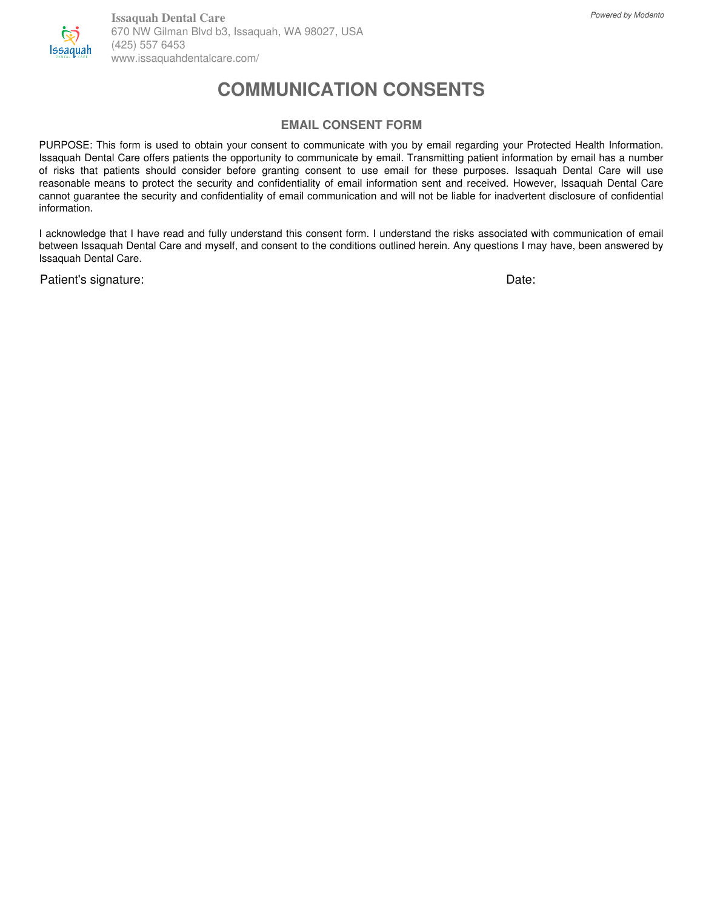

## **COMMUNICATION CONSENTS**

### **EMAIL CONSENT FORM**

PURPOSE: This form is used to obtain your consent to communicate with you by email regarding your Protected Health Information. Issaquah Dental Care offers patients the opportunity to communicate by email. Transmitting patient information by email has a number of risks that patients should consider before granting consent to use email for these purposes. Issaquah Dental Care will use reasonable means to protect the security and confidentiality of email information sent and received. However, Issaquah Dental Care cannot guarantee the security and confidentiality of email communication and will not be liable for inadvertent disclosure of confidential information.

I acknowledge that I have read and fully understand this consent form. I understand the risks associated with communication of email between Issaquah Dental Care and myself, and consent to the conditions outlined herein. Any questions I may have, been answered by Issaquah Dental Care.

Patient's signature: **Date:** Date: **Date: Date: Date: Date: Date: Date: Date: Date: Date: Date: Date: Date: Date: Date: Date: Date: Date: Date: Date: Date: Date: Date: Date: Da**